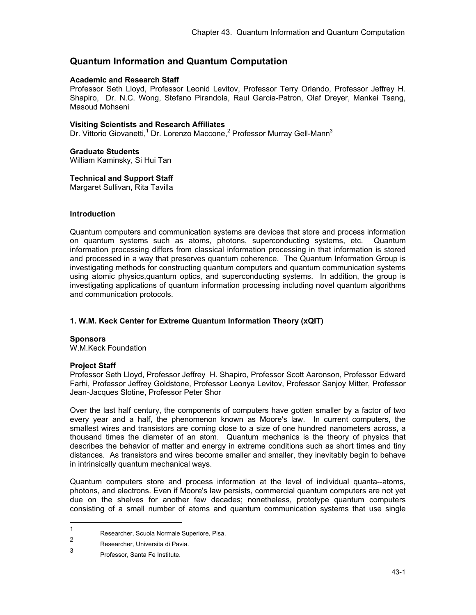# **Quantum Information and Quantum Computation**

#### **Academic and Research Staff**

Professor Seth Lloyd, Professor Leonid Levitov, Professor Terry Orlando, Professor Jeffrey H. Shapiro, Dr. N.C. Wong, Stefano Pirandola, Raul Garcia-Patron, Olaf Dreyer, Mankei Tsang, Masoud Mohseni

#### **Visiting Scientists and Research Affiliates**

Dr. Vittorio Giovanetti,<sup>1</sup> Dr. Lorenzo Maccone,<sup>2</sup> Professor Murray Gell-Mann<sup>3</sup>

## **Graduate Students**

William Kaminsky, Si Hui Tan

#### **Technical and Support Staff**

Margaret Sullivan, Rita Tavilla

## **Introduction**

Quantum computers and communication systems are devices that store and process information on quantum systems such as atoms, photons, superconducting systems, etc. Quantum information processing differs from classical information processing in that information is stored and processed in a way that preserves quantum coherence. The Quantum Information Group is investigating methods for constructing quantum computers and quantum communication systems using atomic physics,quantum optics, and superconducting systems. In addition, the group is investigating applications of quantum information processing including novel quantum algorithms and communication protocols.

## **1. W.M. Keck Center for Extreme Quantum Information Theory (xQIT)**

## **Sponsors**

W.M.Keck Foundation

## **Project Staff**

Professor Seth Lloyd, Professor Jeffrey H. Shapiro, Professor Scott Aaronson, Professor Edward Farhi, Professor Jeffrey Goldstone, Professor Leonya Levitov, Professor Sanjoy Mitter, Professor Jean-Jacques Slotine, Professor Peter Shor

Over the last half century, the components of computers have gotten smaller by a factor of two every year and a half, the phenomenon known as Moore's law. In current computers, the smallest wires and transistors are coming close to a size of one hundred nanometers across, a thousand times the diameter of an atom. Quantum mechanics is the theory of physics that describes the behavior of matter and energy in extreme conditions such as short times and tiny distances. As transistors and wires become smaller and smaller, they inevitably begin to behave in intrinsically quantum mechanical ways.

Quantum computers store and process information at the level of individual quanta--atoms, photons, and electrons. Even if Moore's law persists, commercial quantum computers are not yet due on the shelves for another few decades; nonetheless, prototype quantum computers consisting of a small number of atoms and quantum communication systems that use single

 $\frac{1}{1}$ Researcher, Scuola Normale Superiore, Pisa.

<sup>2</sup> Researcher, Universita di Pavia.

<sup>3</sup> Professor, Santa Fe Institute.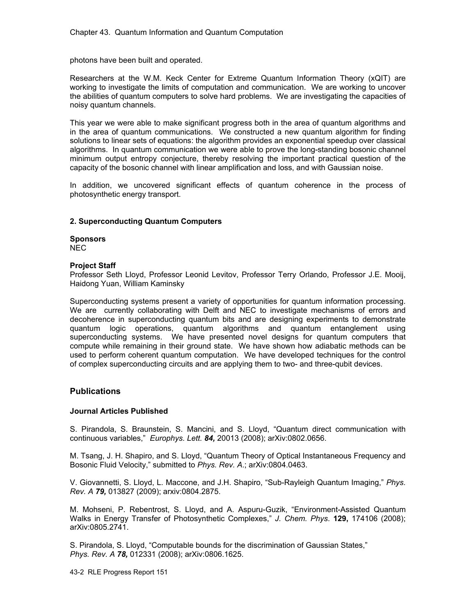photons have been built and operated.

Researchers at the W.M. Keck Center for Extreme Quantum Information Theory (xQIT) are working to investigate the limits of computation and communication. We are working to uncover the abilities of quantum computers to solve hard problems. We are investigating the capacities of noisy quantum channels.

This year we were able to make significant progress both in the area of quantum algorithms and in the area of quantum communications. We constructed a new quantum algorithm for finding solutions to linear sets of equations: the algorithm provides an exponential speedup over classical algorithms. In quantum communication we were able to prove the long-standing bosonic channel minimum output entropy conjecture, thereby resolving the important practical question of the capacity of the bosonic channel with linear amplification and loss, and with Gaussian noise.

In addition, we uncovered significant effects of quantum coherence in the process of photosynthetic energy transport.

#### **2. Superconducting Quantum Computers**

**Sponsors**  NEC

#### **Project Staff**

Professor Seth Lloyd, Professor Leonid Levitov, Professor Terry Orlando, Professor J.E. Mooij, Haidong Yuan, William Kaminsky

Superconducting systems present a variety of opportunities for quantum information processing. We are currently collaborating with Delft and NEC to investigate mechanisms of errors and decoherence in superconducting quantum bits and are designing experiments to demonstrate quantum logic operations, quantum algorithms and quantum entanglement using superconducting systems. We have presented novel designs for quantum computers that compute while remaining in their ground state. We have shown how adiabatic methods can be used to perform coherent quantum computation. We have developed techniques for the control of complex superconducting circuits and are applying them to two- and three-qubit devices.

## **Publications**

# **Journal Articles Published**

S. Pirandola, S. Braunstein, S. Mancini, and S. Lloyd, "Quantum direct communication with continuous variables," *Europhys. Lett. 84,* 20013 (2008); arXiv:0802.0656.

M. Tsang, J. H. Shapiro, and S. Lloyd, "Quantum Theory of Optical Instantaneous Frequency and Bosonic Fluid Velocity," submitted to *Phys. Rev. A*.; arXiv:0804.0463.

V. Giovannetti, S. Lloyd, L. Maccone, and J.H. Shapiro, "Sub-Rayleigh Quantum Imaging," *Phys. Rev. A 79,* 013827 (2009); arxiv:0804.2875.

M. Mohseni, P. Rebentrost, S. Lloyd, and A. Aspuru-Guzik, "Environment-Assisted Quantum Walks in Energy Transfer of Photosynthetic Complexes," *J. Chem. Phys*. **129,** 174106 (2008); arXiv:0805.2741.

S. Pirandola, S. Lloyd, "Computable bounds for the discrimination of Gaussian States," *Phys. Rev. A 78,* 012331 (2008); arXiv:0806.1625.

43-2 RLE Progress Report 151